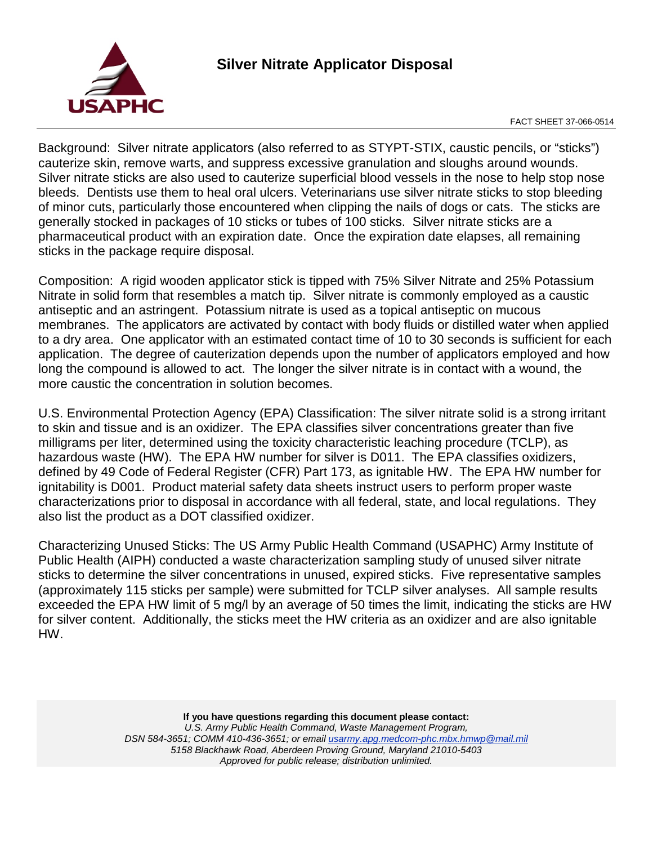

Background: Silver nitrate applicators (also referred to as STYPT-STIX, caustic pencils, or "sticks") cauterize skin, remove warts, and suppress excessive granulation and sloughs around wounds. Silver nitrate sticks are also used to cauterize superficial blood vessels in the nose to help stop nose bleeds. Dentists use them to heal oral ulcers. Veterinarians use silver nitrate sticks to stop bleeding of minor cuts, particularly those encountered when clipping the nails of dogs or cats. The sticks are generally stocked in packages of 10 sticks or tubes of 100 sticks. Silver nitrate sticks are a pharmaceutical product with an expiration date. Once the expiration date elapses, all remaining sticks in the package require disposal.

Composition: A rigid wooden applicator stick is tipped with 75% Silver Nitrate and 25% Potassium Nitrate in solid form that resembles a match tip. Silver nitrate is commonly employed as a caustic antiseptic and an astringent. Potassium nitrate is used as a topical antiseptic on mucous membranes. The applicators are activated by contact with body fluids or distilled water when applied to a dry area. One applicator with an estimated contact time of 10 to 30 seconds is sufficient for each application. The degree of cauterization depends upon the number of applicators employed and how long the compound is allowed to act. The longer the silver nitrate is in contact with a wound, the more caustic the concentration in solution becomes.

U.S. Environmental Protection Agency (EPA) Classification: The silver nitrate solid is a strong irritant to skin and tissue and is an oxidizer. The EPA classifies silver concentrations greater than five milligrams per liter, determined using the toxicity characteristic leaching procedure (TCLP), as hazardous waste (HW). The EPA HW number for silver is D011. The EPA classifies oxidizers, defined by 49 Code of Federal Register (CFR) Part 173, as ignitable HW. The EPA HW number for ignitability is D001. Product material safety data sheets instruct users to perform proper waste characterizations prior to disposal in accordance with all federal, state, and local regulations. They also list the product as a DOT classified oxidizer.

Characterizing Unused Sticks: The US Army Public Health Command (USAPHC) Army Institute of Public Health (AIPH) conducted a waste characterization sampling study of unused silver nitrate sticks to determine the silver concentrations in unused, expired sticks. Five representative samples (approximately 115 sticks per sample) were submitted for TCLP silver analyses. All sample results exceeded the EPA HW limit of 5 mg/l by an average of 50 times the limit, indicating the sticks are HW for silver content. Additionally, the sticks meet the HW criteria as an oxidizer and are also ignitable HW.

> **If you have questions regarding this document please contact:** *U.S. Army Public Health Command, Waste Management Program, DSN 584-3651; COMM 410-436-3651; or email [usarmy.apg.medcom-phc.mbx.hmwp@mail.mil](mailto:usarmy.apg.medcom-phc.mbx.hmwp@mail.mil) 5158 Blackhawk Road, Aberdeen Proving Ground, Maryland 21010-5403 Approved for public release; distribution unlimited.*